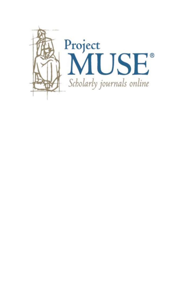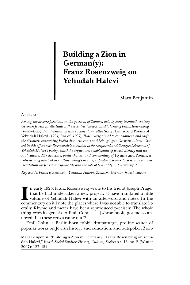# **Building a Zion in German(y): Franz Rosenzweig on Yehudah Halevi**

Mara Benjamin

### **ABSTRACT**

*Among the diverse positions on the question of Zionism held by early-twentieth-century German Jewish intellectuals is the eccentric "non-Zionist" stance of Franz Rosenzweig (1886–1929). In a translation and commentary called* Sixty Hymns and Poems of Yehudah Halevi *(1924; 2nd ed. 1927), Rosenzweig aimed to contribute to and shift the discourse concerning Jewish distinctiveness and belonging in German culture. Critical in this effort was Rosenzweig's attention to the scriptural and liturgical elements of Yehudah Halevi's poetry, which he argued were emblematic of Jewish literary and textual culture. The structure, poetic choices, and commentary of* Hymns and Poems*, a volume long overlooked in Rosenzweig's oeuvre, is properly understood as a sustained meditation on Jewish diasporic life and the role of textuality in preserving it.*

*Key words: Franz Rosenzweig, Yehudah Halevi, Zionism, German-Jewish culture*

II n early 1923, Franz Rosenzweig wrote to his friend Joseph Prager that he had undertaken a new project: "I have translated a little volume of Yehudah Halevi with an afterword and notes. In the commentary on it I note the n early 1923, Franz Rosenzweig wrote to his friend Joseph Prager that he had undertaken a new project: "I have translated a little volume of Yehudah Halevi with an afterword and notes. In the erally. Rhyme and meter have been reproduced precisely. The whole thing owes its genesis to Emil Cohn . . . , [whose book] got me so annoyed that these verses came out."1

Emil Cohn, a Berlin-born rabbi, dramaturge, prolific writer of popular works on Jewish history and education, and outspoken Zion-

Mara Benjamin, "Building a Zion in German(y): Franz Rosenzweig on Yehudah Halevi," *Jewish Social Studies: History, Culture, Society* n.s. 13, no. 2 (Winter 2007): 127–154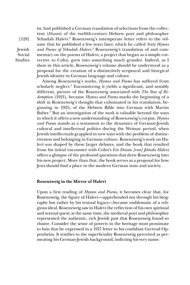ist, had published a German translation of selections from the collection (*Diwan*) of the twelfth-century Hebrew poet and philosopher

[128]

Jewish Social Studies

Yehudah Halevi.<sup>2</sup> Rosenzweig's intemperate letter refers to the volume that he published a few years later, which he called *Sixty Hymns*  and Poems of Yehudah Halevi.<sup>3</sup> Rosenzweig's translation of and commentary on the poems of Halevi, a project that began as a simple corrective to Cohn, grew into something much grander. Indeed, as I show in this article, Rosenzweig's volume should be understood as a proposal for the creation of a distinctively scriptural and liturgical Jewish identity in German language and culture.

Among Rosenzweig's works, *Hymns and Poems* has suffered from scholarly neglect.<sup>4</sup> Encountering it yields a significant, and notably different, picture of the Rosenzweig associated with *The Star of Redemption* (1921), because *Hymns and Poems* marks the beginning of a shift in Rosenzweig's thought that culminated in his translation, beginning in 1925, of the Hebrew Bible into German with Martin Buber.<sup>5</sup> But an investigation of the work is valuable beyond the ways in which it offers a new understanding of Rosenzweig's corpus. *Hymns and Poems* stands as a testament to the dynamics of German-Jewish cultural and intellectual politics during the Weimar period, when Jewish intellectuals grappled in new ways with the problem of distinctiveness and belonging in German culture. Rosenzweig's work on Halevi was shaped by these larger debates, and the book that resulted from his initial encounter with Cohn's *Ein Diwan [von] Jehuda Halevi* offers a glimpse of the profound questions that drew Rosenzweig into his new project. More than that, the book serves as a proposal for how Jews should find a place in the modern German state and society.

### **Rosenzweig in the Mirror of Halevi**

Upon a first reading of *Hymns and Poems*, it becomes clear that, for Rosenzweig, the figure of Halevi—apprehended not through his biography but rather by his textual legacy—became emblematic of a religious ideal. Rosenzweig saw in Halevi the reflection of his own spiritual and textual quest; at the same time, the medieval poet and philosopher represented the authentic, rich Jewish past that Rosenzweig found so elusive. Consider the sense of poverty in the heritage most proximate to him that he expressed in a 1917 letter to his confidant Gertrud Oppenheim. It testifies to the superficiality Rosenzweig perceived as permeating his German-Jewish background, indicting his very name: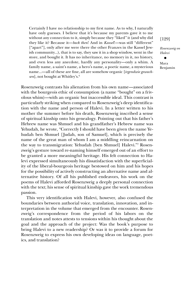Certainly I have no relationship to my first name. As to why, I naturally have only guesses. I believe that it's because my parents gave it to me without any connection to it, simply because they "liked" it (and why did they like it? Because it—*back then*! And in *Kassel*!—was still "different" ["apart"], only after me were there the other Franzes in the Kassel Jewish community...), that is to say, they saw it in a shop window, went in the store, and bought it. It has no inheritance, no memory in it, no history, and even less any anecdote, hardly any personality—only a whim. A family name, a saint's name, a hero's name, a poetic name, a mysterious name...—all of these are fine, all are somehow organic [*irgendwie gewach*sen], not bought at Whitley's.<sup>6</sup>

Rosenzweig contrasts his alienation from his own name—associated with the bourgeois ethic of consumption (a name "bought" on a frivolous whim)—with an organic but inaccessible ideal. This contrast is particularly striking when compared to Rosenzweig's deep identification with the name and person of Halevi. In a letter written to his mother the summer before his death, Rosenzweig inscribed a sense of spiritual kinship onto his genealogy. Pointing out that his father's Hebrew name was Shmuel and his grandfather's Hebrew name was Yehudah, he wrote, "Correctly I should have been given the name Yehudah ben Shmuel [Judah, son of Samuel], which is precisely the name of the great man of whom I am a middling reincarnation on the way to transmigration: Yehudah [ben Shmuel] Halevi."7 Rosenzweig's gesture toward re-naming himself emerged out of an effort to be granted a more meaningful heritage. His felt connection to Halevi expressed simultaneously his dissatisfaction with the superficiality of the liberal-bourgeois heritage bestowed on him and his hopes for the possibility of actively constructing an alternative name and alternative history. Of all his published endeavors, his work on the poems of Halevi afforded Rosenzweig a deeply personal connection with the text; his sense of spiritual kinship gave the work tremendous passion.

This very identification with Halevi, however, also confused the boundaries between authorial voice, translation, innovation, and interpretation in the volume that emerged from the encounter. Rosenzweig's correspondence from the period of his labors on the translation and notes attests to tensions within his thought about the goal and the approach of the project: Was the book's purpose to bring Halevi to a new readership? Or was it to provide a forum for Rosenzweig to express his own developing ideas on language, poetics, and translation?

[129]

*Rosenzweig on Halevi*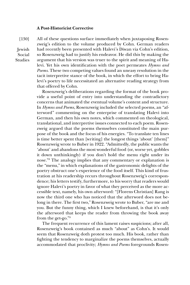#### **A Post-Historicist Corrective**

Jewish Social Studies

[130]

All of these questions surface immediately when juxtaposing Rosenzweig's edition to the volume produced by Cohn. German readers had recently been presented with Halevi's Diwan via Cohn's edition, so Rosenzweig had to justify his endeavor. He did this by making the argument that his version was truer to the spirit and meaning of Halevi. Yet his own identification with the poet permeates *Hymns and Poems*. These two competing values found an uneasy resolution in the tacit interpretive stance of the book, in which the effort to bring Halevi's poetry to life necessitated an alternative reading strategy from that offered by Cohn.

Rosenzweig's deliberations regarding the format of the book provide a useful point of entry into understanding the contradictory concerns that animated the eventual volume's content and structure. In *Hymns and Poems*, Rosenzweig included the selected poems, an "afterword" commenting on the enterprise of translating Halevi into German, and then his own notes, which commented on theological, translational, and interpretive issues connected to each poem. Rosenzweig argued that the poems themselves constituted the main purpose of the book and the focus of his energies. "To translate ten lines is time better spent than [writing] the longest things 'about' [them]" Rosenzweig wrote to Buber in 1922. "Admittedly, the public wants the 'about' and abandons the most wonderful food (or, worse yet, gobbles it down unthinkingly) if you don't hold the menu right under its nose."8 The analogy implies that any commentary or explanation is the "menu," in which explanations of the gastronomic delights of the poetry obstruct one's experience of the food itself. This kind of frustration at his readership recurs throughout Rosenzweig's correspondence; his letters testify, furthermore, to his worry that readers would ignore Halevi's poetry in favor of what they perceived as the more accessible text, namely, his own afterword: "[Florens Christian] Rang is now the third one who has noticed that the afterword does not belong in there. The first two," Rosenzweig wrote to Buber, "are me and you. But the funny thing, which I knew beforehand, is that it's only the afterword that keeps the reader from throwing the book away from the get-go."9

The frequent recurrence of this lament raises suspicions; after all, Rosenzweig's book contained as much "about" as Cohn's. It would seem that Rosenzweig doth protest too much. His book, rather than fighting the tendency to marginalize the poems themselves, actually accommodated that proclivity; *Hymns and Poems* foregrounds Rosen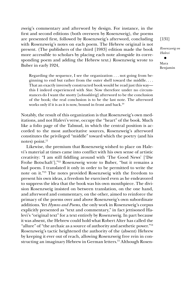zweig's commentary and afterword by design. For instance, in the first and second editions (both overseen by Rosenzweig), the poems are presented first, followed by Rosenzweig's afterword, concluding with Rosenzweig's notes on each poem. The Hebrew original is not present. (The publishers of the third [1983] edition made the book more accessible to scholars by placing each note alongside its corresponding poem and adding the Hebrew text.) Rosenzweig wrote to Buber in early 1924,

Regarding the sequence, I see the organization . . . not going from beginning to end but rather from the outer shell toward the middle. . . . That an exactly inversely constructed book would be read just this way this I indeed experienced with *Star*. Now therefore under no circumstances do I want the snotty [*schnodderig*] afterword to be the conclusion of the book; the real conclusion is to be the last note. The afterword works only if it is as it is now, bound in front and back.<sup>10</sup>

Notably, the result of this organization is that Rosenzweig's own meditations, and not Halevi's verse, occupy the "heart" of the book. Much like a folio page of the Talmud, in which the central position is accorded to the most authoritative sources, Rosenzweig's afterword constitutes the privileged "middle" toward which the poetry (and his notes) point.<sup>11</sup>

Likewise, the premium that Rosenzweig wished to place on Halevi's material at times came into conflict with his own sense of artistic creativity: "I am still fiddling around with 'The Good News' ['Die Frohe Botschaft'],"12 Rosenzweig wrote to Buber, "but it remains a bad poem. I translated it only in order to be permitted to write the note on it."13 The notes provided Rosenzweig with the freedom to present his own ideas, a freedom he exercised even as he endeavored to suppress the idea that the book was his own mouthpiece. The division Rosenzweig insisted on between translation, on the one hand, and afterword and commentary, on the other, aimed to reinforce the primacy of the poems over and above Rosenzweig's own subordinate additions. Yet *Hymns and Poems*, the only work in Rosenzweig's corpus explicitly presented as "text and commentary," in fact jettisoned Halevi's "original text" for a text entirely by Rosenzweig. In part because it was absent, the Hebrew could hold what Robert Alter has called the "allure" of "the archaic as a source of authority and aesthetic power."14 Rosenzweig's tactic heightened the authority of the (absent) Hebrew by keeping it ever out of reach, allowing Rosenzweig free rein in constructing an imaginary Hebrew in German letters.15 Although Rosen[131]

*Rosenzweig on Halevi*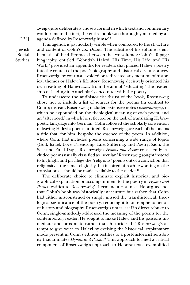zweig quite deliberately chose a format in which text and commentary would remain distinct, the entire book was thoroughly marked by an agenda defined by Rosenzweig himself.

This agenda is particularly visible when compared to the structure and content of Cohn's *Ein Diwan*. The subtitle of his volume is emblematic of the differences between the two volumes: Cohn's 40-page biography, entitled "Yehudah Halevi, His Time, His Life, and His Work," provided an appendix for readers that placed Halevi's poetry into the context of the poet's biography and historical circumstances. Rosenzweig, by contrast, avoided or redirected any mention of historical themes or Halevi's life story. Rosenzweig decisively oriented his own reading of Halevi away from the aim of "educating" the readership or leading it to a scholarly encounter with the poetry.

To underscore the antihistoricist thrust of the book, Rosenzweig chose not to include a list of sources for the poems (in contrast to Cohn); instead, Rosenzweig included extensive notes (*Bemerkungen*), in which he expounded on the theological meaning of each poem, and an "afterword," in which he reflected on the task of translating Hebrew poetic language into German. Cohn followed the scholarly convention of leaving Halevi's poems untitled; Rosenzweig gave each of the poems a title that, for him, bespoke the essence of the poem. In addition, where Cohn had included poems concerning a wide range of topics (God; Israel; Love; Friendship; Life, Suffering, and Poetry; Zion; the Sea; and Final Days), Rosenzweig's *Hymns and Poems* consistently excluded poems usually classified as "secular." Rosenzweig sought instead to highlight and privilege the "religious" poems out of a conviction that religiosity—the same religiosity that inspired him while working on the translations—should be made available to the reader.16

The deliberate choice to eliminate explicit historical and biographical explanation or accompaniment to the poetry in *Hymns and Poems* testifies to Rosenzweig's hermeneutic stance. He argued not that Cohn's book was historically inaccurate but rather that Cohn had either misconstrued or simply missed the transhistorical, theological significance of the poetry, reducing it to an epiphenomenon of history and biography. Rosenzweig's notes, as if in direct rebuke to Cohn, single-mindedly addressed the meaning of the poems for the contemporary reader. He sought to make Halevi and his passions immediate and proximate rather than historicized.17 Rosenzweig's attempt to give voice to Halevi by excising the historical, explanatory mode present in Cohn's edition testifies to a post-historicist sensibility that animates *Hymns and Poems*. 18 This approach formed a critical component of Rosenzweig's approach to Hebrew texts, exemplified

[132]

Jewish Social Studies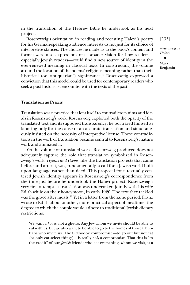in the translation of the Hebrew Bible he undertook as his next project.

Rosenzweig's orientation in reading and recasting Halevi's poetry for his German-speaking audience interests us not just for its choice of interpretive stances. The choices he made as to the book's content and format were also expressions of a broader vision for how readers especially Jewish readers—could find a new source of identity in the ever-renewed meaning in classical texts. In constructing the volume around the location of the poems' religious meaning rather than their historical (or "antiquarian") significance,<sup>19</sup> Rosenzweig expressed a conviction that this model could be used for contemporary readers who seek a post-historicist encounter with the texts of the past.

[133]

*Rosenzweig on Halevi* 

• Mara Benjamin

# **Translation as Praxis**

Translation was a practice that lent itself to contradictory aims and ideals in Rosenzweig's work. Rosenzweig exploited both the opacity of the translated text and its supposed transparency; he portrayed himself as laboring only for the cause of an accurate translation and simultaneously insisted on the necessity of interpretive license. These contradictions in the work of translation became central to Rosenzweig's mature work and animated it.

Yet the volume of translated works Rosenzweig produced does not adequately capture the role that translation symbolized in Rosenzweig's work. *Hymns and Poems*, like the translation projects that came before and after it, was, fundamentally, a call for a Jewish world built upon language rather than deed. This proposal for a textually centered Jewish identity appears in Rosenzweig's correspondence from the time just before he undertook the Halevi project. Rosenzweig's very first attempt at translation was undertaken jointly with his wife Edith while on their honeymoon, in early 1920. The text they tackled was the grace after meals.<sup>20</sup> Yet in a letter from the same period, Franz wrote to Edith about another, more practical aspect of mealtime: the degree to which the couple would adhere to traditional Jewish dietary restrictions:

We want a *house*, not a ghetto. Any Jew whom we invite should be able to eat with us, but we also want to be able to go to the homes of those Christians who invite us. The Orthodox compromise—to go out but not eat (or only eat select things)—is really *only* a compromise. That this is "to the credit" of our *Jewish* friends who eat everything, whom we visit, is a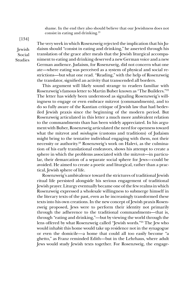shame. In the end they also should believe that our Jewishness does not consist in eating and drinking.<sup>21</sup>

[134]

Jewish Social Studies

The very week in which Rosenzweig rejected the implication that his Judaism should "consist in eating and drinking," he asserted through his translation of the grace after meals that the Jewish liturgical accompaniment to eating and drinking deserved a new German voice and a new German audience. Judaism, for Rosenzweig, did not concern what one ate—where eating was perceived as a system of physical and social restrictions—but what one read. "Reading," with the help of Rosenzweig the translator, signified an activity that transcended all borders.

This argument will likely sound strange to readers familiar with Rosenzweig's famous letter to Martin Buber known as "The Builders."22 The letter has widely been understood as signaling Rosenzweig's willingness to engage or even embrace mitzvot (commandments), and to do so fully aware of the Kantian critique of Jewish law that had bedeviled Jewish praxis since the beginning of the modern period. But Rosenzweig articulated in this letter a much more ambivalent relation to the commandments than has been widely appreciated. In his argument with Buber, Rosenzweig articulated the need for openness toward what the mitzvot and *minhagim* (customs and traditions) of Judaism might bring to the tentative individual engaging with them, not their necessity or authority.23 Rosenzweig's work on Halevi, as the culmination of his early translational endeavors, shows his attempt to create a sphere in which the problems associated with the mitzvot—in particular, their demarcation of a separate social sphere for Jews—could be avoided. He aimed to create a poetic and liturgical, rather than a practical, Jewish sphere of life.

Rosenzweig's ambivalence toward the strictures of traditional Jewish ritual life persisted alongside his serious engagement of traditional Jewish prayer. Liturgy eventually became one of the few realms in which Rosenzweig expressed a wholesale willingness to submerge himself in the literary texts of the past, even as he increasingly transformed these texts into his own creations. In the new concept of Jewish praxis Rosenzweig proposed, Jews were to perform their identity not primarily through the adherence to the traditional commandments—that is, through "eating and drinking,"—but by viewing the world through the lens offered by what Rosenzweig called "Jewish words."24 The Jew who would inhabit this home would take up residence not in the synagogue or even the domicile—a home that could all too easily become "a ghetto," as Franz reminded Edith—but in the Lehrhaus, where adult Jews would study Jewish texts together. For Rosenzweig, the engage-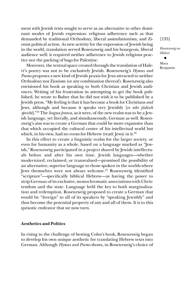ment with Jewish texts sought to serve as an alternative to other dominant modes of Jewish expression: religious adherence such as that demanded by traditional Orthodoxy, liberal assimilationism, and Zionist political action. As new activity for the expression of Jewish being in the world, translation served Rosenzweig and his bourgeois, liberal audience well: it required neither adherence to Jewish religious practice nor the packing of bags for Palestine.

Moreover, the textual space created through the translation of Halevi's poetry was not to be exclusively Jewish. Rosenzweig's *Hymns and Poems* proposes a new kind of Jewish praxis for Jews attracted to neither Orthodoxy nor Zionism (or any combination thereof). Rosenzweig also envisioned his book as speaking to both Christian and Jewish audiences. Writing of his frustration in attempting to get the book published, he wrote to Buber that he did not wish it to be published by a Jewish press. "My feeling is that it has become a book for Christians *and* Jews, although and because it speaks very Jewishly [*es sehr jüdisch spricht*]."25 The *lingua franca*, as it were, of the new realm was to be a Jewish language, yet literally, and simultaneously, German as well. Rosenzweig's aim was to create a German that could be more expansive than that which occupied the cultural center of his intellectual world but which, in his view, had no room for Hebrew (read: Jews) in it.26

In this effort to create a linguistic realm for the larger society, or even for humanity as a whole, based on a language marked as "Jewish," Rosenzweig participated in a project shared by Jewish intellectuals before and after his own time. Jewish languages—whether modernized, reclaimed, or transvalued—promised the possibility of an alternative, superior language to those spoken in the worlds where Jews themselves were not always welcome.27 Rosenzweig identified "scripture"—specifically biblical Hebrew—as having the power to strip German of its exclusive, monochromatic associations with Christendom and the state. Language held the key to both marginalization and redemption. Rosenzweig proposed to create a German that would be "foreign" to all of its speakers by "speaking Jewishly" and thus become the potential property of any and all of them. It is to this quixotic endeavor that we now turn.

#### **Aesthetics and Politics**

In rising to the challenge of besting Cohn's book, Rosenzweig began to develop his own unique aesthetic for translating Hebrew texts into German. Although *Hymns and Poems* shows, in Rosenzweig's choice of [135]

*Rosenzweig on Halevi*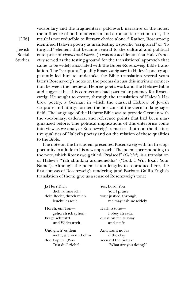[136]

Jewish Social Studies vocabulary and the fragmentary, patchwork narrative of the notes, the influence of both modernism and a romantic reaction to it, the result is not reducible to literary choice alone.<sup>28</sup> Rather, Rosenzweig identified Halevi's poetry as manifesting a specific "scriptural" or "liturgical" element that became central to the cultural and political enterprise of *Hymns and Poems*. (It was not accidental that Halevi's poetry served as the testing ground for the translational approach that came to be widely associated with the Buber-Rosenzweig Bible translation. The "scriptural" quality Rosenzweig saw in Halevi's poetry apparently led him to undertake the Bible translation several years later.) Rosenzweig's notes on the poems discuss this intrinsic connection between the medieval Hebrew poet's work and the Hebrew Bible and suggest that this connection had particular potency for Rosenzweig. He sought to create, through the translation of Halevi's Hebrew poetry, a German in which the classical Hebrew of Jewish scripture and liturgy formed the horizons of the German languagefield. The language of the Hebrew Bible was to provide German with the vocabulary, cadences, and reference points that had been marginalized before. The political implications of this enterprise come into view as we analyze Rosenzweig's remarks—both on the distinctive qualities of Halevi's poetry and on the relation of these qualities to the Bible.

The note on the first poem presented Rosenzweig with his first opportunity to allude to his new approach. The poem corresponding to the note, which Rosenzweig titled "Praised!" (*Gelobt!*), is a translation of Halevi's "Yah shimkha aromemekha" ("God, I Will Exalt Your Name"). Although the poem is too lengthy to reproduce here, the first stanzas of Rosenzweig's rendering (and Barbara Galli's English translation of them) give us a sense of Rosenzweig's tone:

| Ja Herr Dich           | Yes, Lord, You          |
|------------------------|-------------------------|
| dich rühme ich;        | You I praise;           |
| dein Recht, durch mich | your justice, through   |
| leucht' es weit.       | me may it shine widely. |
| Horch, ein Ton—        | Hark, a tone—           |
| gehorch ich schon,     | I obey already,         |
| Frage schmilzt         | question melts away     |
| und Widerstreit.       | and strife.             |
| Und glich' es dem      | And was it not as       |
| nicht, wie wenn Lehm   | if the clay             |
| den Töpfer: "Was       | accused the potter      |
| Tust du!" zieht?       | "What are you doing?"   |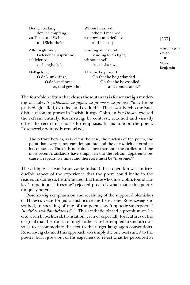| Des ich verlang,<br>den ich empfang<br>zu Turm und Wehr<br>und Sicherheit: | Whom I desired,<br>whom I received<br>as a tower and defense<br>and security:                             | [137]                                       |
|----------------------------------------------------------------------------|-----------------------------------------------------------------------------------------------------------|---------------------------------------------|
| All-um glühnd,<br>Geleucht aussprühnd,<br>schleierlos,<br>verhangbefreit—  | Shining all around,<br>sending forth light,<br>without a veil<br>freed of a cover—                        | Rosenzweig on<br>Halevi<br>Mara<br>Benjamin |
| Daß gelobt,<br>O daß umkränzt,<br>O daß gerühmt<br>er, und geweiht.        | That he be praised<br>Oh that he be garlanded<br>Oh that he be extolled<br>and consecrated. <sup>29</sup> |                                             |

The four-fold refrain that closes these stanzas is Rosenzweig's rendering of Halevi's *yishtabakh ve-yitpaer ve-yitromem ve-yitnase* ("may he be praised, glorified, extolled, and exalted"). These words echo the Kaddish, a resonant prayer in Jewish liturgy. Cohn, in *Ein Diwan*, excised the refrain entirely. Rosenzweig, by contrast, retained and visually offset the recurring chorus for emphasis. In his note on the poem, Rosenzweig pointedly remarked,

The refrain here is, as is often the case, the nucleus of the poem, the point that every stanza empties out into and the one which determines its course. . . . Thus it is no coincidence that both the earliest and the most recent translators have simply left out the refrain, apparently because it repeats five times and therefore must be "tiresome."30

The critique is clear. Rosenzweig insisted that repetition was an irreducible aspect of the experience that the poem could incite in the reader. In doing so, he insinuated that those who, like Cohn, found Halevi's repetitions "tiresome" rejected precisely what made this poetry uniquely potent.

Rosenzweig's emphasis on and revaluing of the supposed blemishes of Halevi's verse forged a distinctive aesthetic, one Rosenzweig described, in speaking of one of the poems, as "unpoetic-superpoetic" (*undichterisch-überdichterisch*).31 This aesthetic placed a premium on literal, even hyperliteral, translation, even or especially for features of the original that the translator might otherwise be tempted to smooth over so as to accommodate the text to the target language's conventions. Rosenzweig claimed this approach was simply the one best suited to the poetry, but it grew out of his eagerness to reject what he perceived as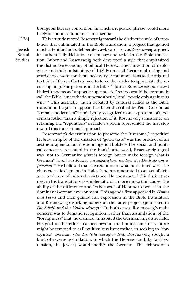bourgeois literary convention, in which a repeated phrase would more likely be found redundant than essential.

[138]

Jewish Social Studies

This attitude moved Rosenzweig toward the distinctive style of translation that culminated in the Bible translation, a project that gained much attention for its deliberately awkward—or, as Rosenzweig argued, its authentically Hebraic—vocabulary and style. In the Bible translation, Buber and Rosenzweig both developed a style that emphasized the distinctive economy of biblical Hebrew. Their invention of neologisms and their insistent use of highly unusual German phrasing and word choice were, for them, necessary accommodations to the original text. All of these efforts aimed to force the reader to appreciate the recurring linguistic patterns in the Bible.<sup>32</sup> Just as Rosenzweig portrayed Halevi's poems as "unpoetic-superpoetic," so too would he eventually call the Bible "unaesthetic-superaesthetic," and "poetic only against its will."33 This aesthetic, much debated by cultural critics as the Bible translation began to appear, has been described by Peter Gordon as "archaic modernism"34 and rightly recognized as an expression of modernism rather than a simple rejection of it. Rosenzweig's insistence on retaining the "repetitions" in Halevi's poem represented the first step toward this translational approach.

Rosenzweig's determination to preserve the "tiresome," repetitive Hebrew in spite of the dictates of "good taste" was the product of an aesthetic agenda, but it was an agenda bolstered by social and political concerns. As stated in the book's afterword, Rosenzweig's goal was "not to Germanize what is foreign but to make foreign what is German" (*nicht das Fremde einzudeutschen, sondern das Deutsche umzufremden*).35 He believed that the retention of what he claimed were the characteristic elements in Halevi's poetry amounted to an act of defiance and even of cultural resistance. He constructed this distinctiveness in his translations as emblematic of a more important cause: the ability of the difference and "otherness" of Hebrew to persist in the dominant German environment. This agenda first appeared in *Hymns and Poems* and then gained full expression in the Bible translation and Rosenzweig's working papers on the latter project (published in *Die Schrift und ihre Verdeutschung*).36 In both cases, Rosenzweig's main concern was to demand recognition, rather than assimilation, of the "foreignness" that, he claimed, inhabited the German linguistic field. His goal in this effort reached beyond the limited aims of what we might be tempted to call multiculturalism; rather, in seeking to "foreignize" German (*das Deutsche umzufremden*), Rosenzweig sought a kind of reverse assimilation, in which the Hebrew (and, by tacit extension, the Jewish) would modify the German. The echoes of a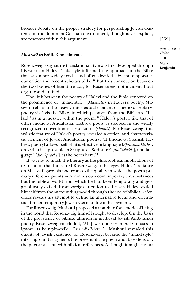broader debate on the proper strategy for perpetuating Jewish existence in the dominant German environment, though never explicit, are resonant within this argument.

#### *Musivstil* **as Exilic Consciousness**

Rosenzweig's signature translational style was first developed through his work on Halevi. This style informed the approach to the Bible that was more widely read—and often decried—by contemporaneous critics and recent scholars alike.<sup>37</sup> But this connection between the two bodies of literature was, for Rosenzweig, not incidental but organic and unified.

The link between the poetry of Halevi and the Bible centered on the prominence of "inlaid style" (*Musivstil*) in Halevi's poetry. Musivstil refers to the heavily intertextual element of medieval Hebrew poetry vis-à-vis the Bible, in which passages from the Bible are "inlaid," as in a mosaic, within the poem.<sup>38</sup> Halevi's poetry, like that of other medieval Andalusian Hebrew poets, is steeped in the widely recognized convention of tessellation (*shibuts*). For Rosenzweig, this stylistic feature of Halevi's poetry revealed a critical and characteristic element of Jewish Andalusian poetry: "It [medieval Spanish Hebrew poetry] allows itself what is effective in language [*Sprachwirkliche*], only what is—provable in Scripture. 'Scripture' [*die 'Schrift'*], not 'language' [*die 'Sprache'*], is the norm here."39

It was not so much the literary as the philosophical implications of tessellation that interested Rosenzweig. In his eyes, Halevi's reliance on Musivstil gave his poetry an exilic quality in which the poet's primary reference points were not his own contemporary circumstances but the biblical world from which he had been temporally and geographically exiled. Rosenzweig's attention to the way Halevi exiled himself from the surrounding world through the use of biblical references reveals his attempt to define an alternative locus and orientation for contemporary Jewish-German life in his own era.

For Rosenzweig, Musivstil proposed a mandate for a mode of being in the world that Rosenzweig himself sought to develop. On the basis of the prevalence of biblical allusion in medieval Jewish Andalusian poetry, Rosenzweig concluded, "All Jewish poetry in exile refuses to ignore its being-in-exile [*ihr im-Exil-Sein*]."40 Musivstil revealed this quality of Jewish existence, for Rosenzweig, because the "inlaid style" interrupts and fragments the present of the poem and, by extension, the poet's present, with biblical references. Although it might just as

[139]

*Rosenzweig on Halevi*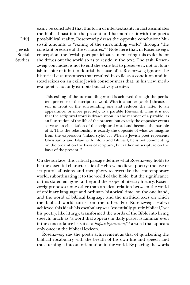easily be concluded that this form of intertextuality in fact assimilates the biblical past into the present and harmonizes it with the poet's post-biblical reality, Rosenzweig draws the opposite conclusion: Musivstil amounts to "exiling of the surrounding world" through "the constant pressure of the scriptures."41 Note here that, in Rosenzweig's conception, the Jewish poet participates in enacting this exile: he or she drives out the world so as to reside in the text. The task, Rosenzweig concludes, is not to end the exile but to preserve it; not to flourish in spite of it but to flourish because of it. Rosenzweig ignores the historical circumstances that resulted in exile as a condition and instead seizes on an exilic Jewish consciousness that, in his view, medieval poetry not only exhibits but actively creates:

This exiling of the surrounding world is achieved through the persistent presence of the scriptural word. With it, another [world] thrusts itself in front of the surrounding one and reduces the latter to an appearance, or more precisely, to a parable [*Gleichnis*]. Thus it is not that the scriptural word is drawn upon, in the manner of a parable, as an illustration of the life of the present, but exactly the opposite: events serve as an elucidation of the scriptural word and become the parable of it. Thus the relationship is exactly the opposite of what we imagine from the expression "inlaid style." . . . When a Jewish poet represents Christianity and Islam with Edom and Ishmael, he is not commenting on the present on the basis of scripture, but rather on scripture on the basis of the present.<sup>42</sup>

On the surface, this critical passage defines what Rosenzweig holds to be the essential characteristic of Hebrew medieval poetry: the use of scriptural allusions and metaphors to overtake the contemporary world, subordinating it to the world of the Bible. But the significance of this statement goes far beyond the scope of literary history. Rosenzweig proposes none other than an ideal relation between the world of ordinary language and ordinary historical time, on the one hand, and the world of biblical language and the mythical axes on which the biblical world turns, on the other. For Rosenzweig, Halevi achieved this ideal: his vocabulary was "essentially purely biblical," yet his poetry, like liturgy, transformed the words of the Bible into living speech, much as "a word that appears in daily prayer is familiar even if the concordance lists it as a *hapax legomenon*,"43 a word that appears only once in the biblical lexicon.

Rosenzweig saw the poet's achievement as that of quickening the biblical vocabulary with the breath of his own life and speech and thus turning it into an orientation in the world. By placing the words

[140]

Jewish Social Studies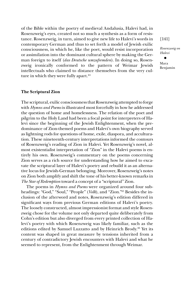of the Bible within the poetry of medieval Andalusia, Halevi had, in Rosenzweig's eyes, created not so much a synthesis as a form of resistance. Rosenzweig, in turn, aimed to give new life to Halevi's words in contemporary German and thus to set forth a model of Jewish exilic consciousness, in which he, like the poet, would resist incorporation or assimilation into the dominant cultural sphere by making the German foreign to itself (*das Deutsche umzufremden*). In doing so, Rosenzweig ironically conformed to the pattern of Weimar Jewish intellectuals who claimed to distance themselves from the very culture in which they were fully apart.<sup>44</sup>

# **The Scriptural Zion**

The scriptural, exilic consciousness that Rosenzweig attempted to forge with *Hymns and Poems* is illustrated most forcefully in how he addressed the question of home and homelessness. The relation of the poet and pilgrim to the Holy Land had been a focal point for interpreters of Halevi since the beginning of the Jewish Enlightenment, when the predominance of Zion-themed poems and Halevi's own biography served as lightning rods for questions of home, exile, diaspora, and acculturation. These nineteenth-century interpretations informed the contours of Rosenzweig's reading of Zion in Halevi. Yet Rosenzweig's novel, almost existentialist interpretation of "Zion" in the Halevi poems is entirely his own. Rosenzweig's commentary on the poems concerning Zion serves as a rich source for understanding how he aimed to excavate the scriptural layer of Halevi's poetry and rebuild it as an alternative locus for Jewish-German belonging. Moreover, Rosenzweig's notes on Zion both amplify and shift the tone of his better-known remarks in *The Star of Redemption* toward a concept of a "scriptural" Zion.

The poems in *Hymns and Poems* were organized around four subheadings: "God," "Soul," "People" (*Volk*), and "Zion."45 Besides the inclusion of the afterword and notes, Rosenzweig's edition differed in significant ways from previous German editions of Halevi's poetry. The loosely constructed, almost impressionist format and style Rosenzweig chose for the volume not only departed quite deliberately from Cohn's edition but also diverged from every printed collection of Halevi's poetry with which Rosenzweig was likely familiar, such as the editions edited by Samuel Luzzatto and by Heinrich Brody.<sup>46</sup> Yet its content was shaped in great measure by tensions inherited from a century of contradictory Jewish encounters with Halevi and what he seemed to represent, from the Enlightenment through Weimar.

[141]

*Rosenzweig on Halevi*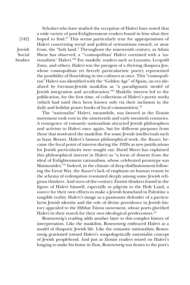[142]

Jewish Social Studies

Scholars who have studied the reception of Halevi have noted that a wide variety of post-Enlightenment readers found in him what they hoped to find.<sup>47</sup> This seems particularly true for appropriations of Halevi concerning social and political orientations toward, or away from, the "holy land." Throughout the nineteenth century, as Adam Shear has observed, a "'cosmopolitan' Halevi coexisted with a 'nationalistic' Halevi."48 For maskilic readers such as Luzzatto, Leopold Zunz, and others, Halevi was the paragon of a thriving diaspora Jew, whose cosmopolitan yet fiercely particularistic poetry represented the possibility of flourishing in two cultures at once. This "cosmopolitan" Halevi was identified with the "Golden Age" of Spain, an era idealized by German-Jewish maskilim as "a paradigmatic model of Jewish integration and acculturation."49 Maskilic interest led to the publication, for the first time, of collections of Halevi's poetic works (which had until then been known only via their inclusion in the daily and holiday prayer books of local communities).<sup>50</sup>

The "nationalist" Halevi, meanwhile, was favored as the Zionist movement took root in the nineteenth and early twentieth centuries. A resurgence of romantic nationalism attracted Jewish philosophers and activists to Halevi once again, but for different purposes from those that motivated the maskilim. For some Jewish intellectuals such as Isaac Breuer, Halevi's famous philosophical work, the *Kuzari*, became the focal point of interest during the 1920s as new justifications for Jewish particularity were sought out. David Myers has explained this philosophical interest in Halevi as "a form of dissent from the ideal of Enlightenment rationalism, whose celebrated prototype was Maimonides."51 Indeed, in the climate of deep disillusionment following the Great War, the *Kuzari*'s lack of emphasis on human reason in the schema of redemption resonated deeply among some Jewish religious thinkers. And turn-of-the-century Zionist thinkers found in the figure of Halevi himself, especially as pilgrim to the Holy Land, a source for their own efforts to make a Jewish homeland in Palestine a tangible reality. Halevi's image as a passionate defender of a particularist Jewish identity and the role of divine providence in Jewish history appealed to the Hibbat Tsiyon movement, whose poets glorified Halevi in their search for their own ideological predecessors.<sup>52</sup>

Rosenzweig's reading adds another layer to this complex history of interpretation. Like the maskilim, Rosenzweig embraced Halevi as a model of diasporic Jewish life. Like the romantic nationalists, Rosenzweig gravitated toward Halevi's unapologetically essentialist concept of Jewish peoplehood. And just as Zionist readers seized on Halevi's longing to make his home in Zion, Rosenzweig was drawn to the poet's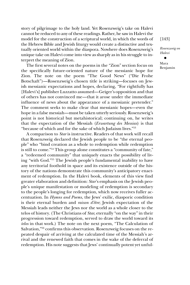story of pilgrimage to the holy land. Yet Rosenzweig's take on Halevi cannot be reduced to any of these readings. Rather, he saw in Halevi the model for the construction of a scriptural world, in which the words of the Hebrew Bible and Jewish liturgy would create a distinctive and textually oriented world within the diaspora. Nowhere does Rosenzweig's unique take on Halevi come into view as sharply as in his struggle to interpret the meaning of Zion.

The first several notes on the poems in the "Zion" section focus on the specifically future-oriented nature of the messianic hope for Zion. The note on the poem "The Good News" ("Die Frohe Botschaft")—Rosenzweig's chosen title is striking—focuses on Jewish messianic expectations and hopes, declaring, "For rightfully has [Halevi's] publisher Luzzatto assumed—Geiger's opposition and that of others has not convinced me—that it arose under the immediate influence of news about the appearance of a messianic pretender." The comment seeks to make clear that messianic hopes—even the hope in a false messiah—must be taken utterly seriously. Rosenzweig's point is not historical but metahistorical; continuing on, he writes that the expectation of the Messiah (*Erwartung des Messias*) is that "because of which and for the sake of which Judaism lives."53

A comparison to *Star* is instructive. Readers of that work will recall that Rosenzweig declared the Jewish people to be "the eternal people" who "bind creation as a whole to redemption while redemption is still to come."54 This group alone constitutes a "community of fate," a "redeemed community" that uniquely enacts the possibility of living "with God."55 The Jewish people's fundamental inability to have any territorial foothold in space and its existence outside of the history of the nations demonstrate this community's anticipatory enactment of redemption. In the Halevi book, elements of this view find greater elaboration and definition: *Star*'s emphasis on the Jewish people's unique manifestation or modeling of redemption is secondary to the people's longing for redemption, which now receives fuller accentuation. In *Hymns and Poems*, the Jews' exilic, diasporic condition is their eternal burden and *raison d'être*; Jewish expectation of the Messiah leads neither the Jews nor the world as a whole closer to the telos of history. (The Christians of *Star*, eternally "on the way" in their progression toward redemption, served to draw the world toward its *telos* in that work.) The note on the next poem, "The Calculation of Salvation,"56 confirms this observation. Rosenzweig focuses on the repeated despair of arriving at the calculated time of the Messiah's arrival and the renewed faith that comes in the wake of the deferral of redemption. His note suggests that Jews' continually potent yet unful[143]

*Rosenzweig on Halevi*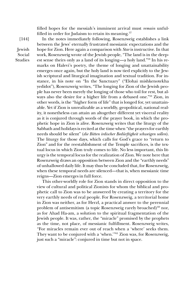filled hopes for the messiah's imminent arrival must *remain* unfulfilled in order for Judaism to retain its meaning.<sup>57</sup>

[144]

Jewish Social Studies

In the notes immediately following, Rosenzweig establishes a link between the Jews' eternally frustrated messianic expectations and the hope for Zion. Here again a comparison with *Star* is instructive. In that work, Rosenzweig wrote of the Jewish people, "The land is in the deepest sense theirs only as a land of its longing—a holy land."58 In his remarks on Halevi's poetry, the theme of longing and unattainability emerges once again, but the holy land is now tied explicitly to the Jewish scriptural and liturgical imagination and textual tradition. For instance, in his note on "In the Sanctuary" ("Elohai mishkenotekha yedidot"), Rosenzweig writes, "The longing for Zion of the Jewish people has never been merely the longing of those who toil for rest, but always also the desire for a higher life from a debased one."59 Zion, in other words, is the "higher form of life" that is longed for, yet unattainable. Yet if Zion is unrealizable as a worldly, geopolitical, national reality, it nonetheless can attain an altogether different yet visceral reality as it is conjured through words of the prayer book, in which the prophetic hope in Zion is alive. Rosenzweig writes that the liturgy of the Sabbath and holidays is recited at the time when "the prayers for earthly needs should be silent" (*die Bitten irdischer Bedürftigkeit schweigen sollen*). The liturgy for those days, which calls for God's grace to "return to Zion" and for the reestablishment of the Temple sacrifices, is the textual locus in which Zion truly comes to life. No less important, this liturgy is the temporal locus for the realization of Zion. We note here that Rosenzweig draws an opposition between Zion and the "earthly needs" of unhallowed daily life. It may thus be concluded that, for Rosenzweig, when these temporal needs are silenced—that is, when messianic time reigns—Zion emerges in full force.

This other-worldly role for Zion stands in direct opposition to the view of cultural and political Zionists for whom the biblical and prophetic call to Zion was to be answered by creating a territory for the very earthly needs of real people. For Rosenzweig, a territorial home in Zion was neither, as for Herzl, a practical answer to the perennial problem of antisemitism (a topic Rosenzweig rarely broached) $60$  nor, as for Ahad Ha-am, a solution to the spiritual fragmentation of the Jewish people. It was, rather, the "miracle" promised by the prophets as the time, not place, of messianic fulfillment. Rosenzweig writes, "For miracles remain ever out of reach when a 'where' seeks them. They want to be conjured with a 'when.'"61 Zion was, for Rosenzweig, just such a "miracle": conjured in time but not in space.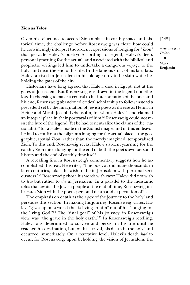## **Zion as Telos**

Given his reluctance to accord Zion a place in earthly space and historical time, the challenge before Rosenzweig was clear: how could he convincingly interpret the ardent expressions of longing for "Zion" that pervade Halevi's poetry? According to legend, Halevi's deep, personal yearning for the actual land associated with the biblical and prophetic writings led him to undertake a dangerous voyage to the holy land near the end of his life. In the famous story of his last days, Halevi arrived in Jerusalem in his old age only to be slain while beholding the gates of the city.

Historians have long agreed that Halevi died in Egypt, not at the gates of Jerusalem. But Rosenzweig was drawn to the legend nonetheless. In choosing to make it central to his interpretation of the poet and his end, Rosenzweig abandoned critical scholarship to follow instead a precedent set by the imagination of Jewish poets as diverse as Heinrich Heine and Micah Joseph Lebensohn, for whom Halevi's end claimed an integral place in their portrayals of him.62 Rosenzweig could not resist the lure of the legend. Yet he had to neutralize the claims of the "nationalists" for a Halevi made in the Zionist image, and in this endeavor he had to confront the pilgrim's longing for the actual place—the geographic, spatial Zion, rather than the merely imagined, temporalized Zion. To this end, Rosenzweig recast Halevi's ardent yearning for the earthly Zion into a longing for the end of both the poet's own personal history and the end of earthly time itself.

A revealing line in Rosenzweig's commentary suggests how he accomplished this feat. He writes, "The poet, as did many thousands in later centuries, takes the wish to die in Jerusalem with personal seriousness."63 Rosenzweig chose his words with care: Halevi did not wish to *live* but rather to *die* in Jerusalem. In a parallel to the messianic telos that awaits the Jewish people at the end of time, Rosenzweig imbricates Zion with the poet's personal death and expectation of it.

The emphasis on death as the apex of the journey to the holy land pervades this section. In making his journey, Rosenzweig writes, Halevi "gives up on a world that is living to him" out of his "longing for the living God."64 The "final goal" of his journey, in Rosenzweig's view, was "the grave in the holy earth."65 In Rosenzweig's retelling, Halevi was determined to survive and persist in his life until he reached his destination, but, on his arrival, his death in the holy land occurred immediately. On a narrative level, Halevi's death *had* to occur, for Rosenzweig, upon beholding the vision of Jerusalem: the

[145]

*Rosenzweig on Halevi*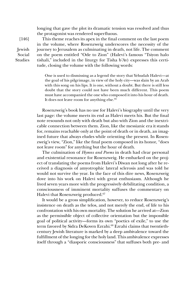longing that gave the plot its dramatic tension was resolved and thus the protagonist was rendered superfluous.

[146]

Jewish Social Studies

This theme reaches its apex in the final comment on the last poem in the volume, where Rosenzweig underscores the necessity of the journey to Jerusalem as culminating in death, not life. The comment on the poem entitled "Ode to Zion" (Halevi's famous "Tsiyon halo tishali," included in the liturgy for Tisha b'Av) expresses this certitude, closing the volume with the following words:

One is used to dismissing as a legend the story that Yehudah Halevi—at the goal of his pilgrimage, in view of the holy city—was slain by an Arab with this song on his lips. It is one, without a doubt. But there is still less doubt that the story could not have been much different. This poem must have accompanied the one who composed it into his hour of death. It does not leave room for anything else.<sup>66</sup>

Rosenzweig's book has no use for Halevi's biography until the very last page: the volume meets its end as Halevi meets his. But the final note resounds not only with death but also with Zion and the inextricable connection between them. Zion, like the messianic era it stands for, remains reachable only at the point of death or in death, an imagined future that always eludes while orienting the present. In Rosenzweig's view, "Zion," like the final poem composed in its honor, "does not leave room" for anything but the hour of death.

The culmination of *Hymns and Poems* in death had clear personal and existential resonance for Rosenzweig. He embarked on the project of translating the poems from Halevi's Diwan not long after he received a diagnosis of amyotrophic lateral sclerosis and was told he would not survive the year. In the face of this dire news, Rosenzweig dove into his work on Halevi with great enthusiasm. Although he lived seven years more with the progressively debilitating condition, a consciousness of imminent mortality suffuses the commentary on Halevi that Rosenzweig produced.<sup>67</sup>

It would be a gross simplification, however, to reduce Rosenzweig's insistence on death as the telos, and not merely the end, of life to his confrontation with his own mortality. The solution he arrived at—Zion as the permissible object of collective orientation but the impossible goal of political activity—forms its own "poetics of exile," to use the term favored by Sidra DeKoven Ezrahi.<sup>68</sup> Ezrahi claims that twentiethcentury Jewish literature is marked by a deep ambivalence toward the fulfillment of the longing for the holy land. This ambivalence expresses itself through a "diasporic consciousness" that suffuses both pre- and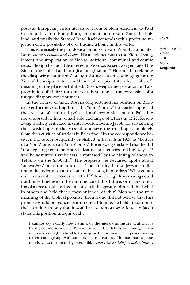postwar European Jewish literature. From Sholem Aleichem to Paul Celan and even to Philip Roth, an orientation toward Zion, the holy land, and finally the State of Israel itself contends with a profound rejection of the possibility of ever finding a home in this world.

This is precisely the paradoxical impulse toward Zion that animates Rosenzweig's *Hymns and Poems*. His allegiance was to the Zion of song, lament, and supplication; to Zion as individual, communal, and cosmic telos. Though he had little interest in Zion*ism*, Rosenzweig engaged the Zion of the biblical and liturgical imagination. $69$  He aimed to rekindle the diasporic meaning of Zion by insisting that only by longing for the Zion of the scriptural text could the truly utopian (literally, "nowhere") meaning of the place be fulfilled. Rosenzweig's interpretation and appropriation of Halevi thus marks this volume as the expression of a unique diaspora consciousness.

In the course of time, Rosenzweig softened his position on Zionism yet further. Calling himself a "non-Zionist," he neither opposed the creation of a cultural, political, and economic center in Palestine nor endorsed it. In a remarkable exchange of letters in 1927, Rosenzweig publicly criticized his interlocutor, Benno Jacob, for trivializing the Jewish hope in the Messiah and severing this hope completely from the activities of settlers in Palestine.<sup>70</sup> In the correspondence between the two, subsequently published in *Der Jude* in 1928 as "Letters of a Non-Zionist to an Anti-Zionist," Rosenzweig declared that he did "not begrudge contemporary Palestine its 'factories and highways,'"71 and he admitted that he was "impressed" by the closing of shops in Tel Aviv on the Sabbath.72 The prophets, he declared, spoke about "an *earthly* Zion of the future. . . . The eternity that we Jews mean lies not in the indefinite future, but in the 'soon, in our days.' What comes only in eternity . . . comes not at all."73 And though Rosenzweig could not himself believe in the imminence of this future, or in the building of a territorial land as a means to it, he greatly admired this belief in others and held that a messianic yet "earthly" Zion was the true meaning of the biblical promise. Even if one did not believe that this promise would be realized within one's lifetime, he held, it was nonetheless a duty to pray that it would arrive tomorrow. A letter to Jacob states this position unequivocally:

I cannot say exactly how I think of the messianic future. But that is hardly counter-evidence. When it is time, the details will emerge. I am not naïve enough to be able to imagine the occurrence of peace among nations and groups without a radical recreation of human nature, one that is, viewed from today, incredible. *That I have a belief in such a future I*  [147]

*Rosenzweig on Halevi*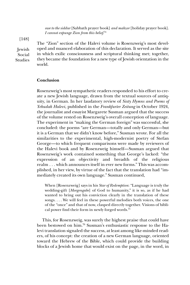*owe to the siddur* [Sabbath prayer book] *and mahzor* [holiday prayer book]. *I cannot expunge Zion from this belief*. 74

[148]

Jewish Social Studies The "Zion" section of the Halevi volume is Rosenzweig's most developed and nuanced elaboration of this declaration. It served as the site in which exilic consciousness and scriptural thinking met; together, they became the foundation for a new type of Jewish orientation in the world.

## **Conclusion**

Rosenzweig's most sympathetic readers responded to his effort to create a new Jewish language, drawn from the textual sources of antiquity, in German. In her laudatory review of *Sixty Hymns and Poems of Yehudah Halevi*, published in the *Frankfurter Zeitung* in October 1924, the journalist and essayist Margarete Susman argued that the success of the volume rested on Rosenzweig's overall conception of language. The experiment in "making the German foreign" was successful, she concluded: the poems "are German—totally and only German—but it is a German that we didn't know before," Susman wrote. For all the similarities to the experimental, high-modernist poetry of Stefan George—to which frequent comparisons were made by reviewers of the Halevi book and by Rosenzweig himself—Susman argued that Rosenzweig's work contained something that George's lacked: "the expression of an objectivity and breadth of the religious realm . . . which announces itself in ever new forms." This was accomplished, in her view, by virtue of the fact that the translation had "immediately created its own language." Susman continued,

When [Rosenzweig] says in his *Star of Redemption*: "Language is truly the wedding-gift [*Morgengabe*] of God to humanity," it is so, as if he had wanted to bring out his conviction clearly in the translation of these songs. . . . We will feel in these powerful melodies both voices, the one of the "once" and that of now, clasped directly together. Visions of biblical power find their form in newly forged words.75

This, for Rosenzweig, was surely the highest praise that could have been bestowed on him.76 Susman's enthusiastic response to the Halevi translation signaled the success, at least among like-minded readers, of his concept: the creation of a new German language, oriented toward the Hebrew of the Bible, which could provide the building blocks of a Jewish home that would exist on the page, in the word, in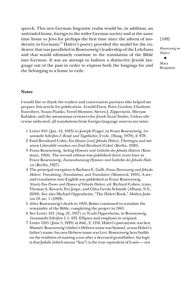speech. This new German linguistic realm would be, in addition, an *unheimlich* home, foreign to the wider German society and at the same time home to Jews for perhaps the first time since the advent of modernity in Germany.<sup>77</sup> Halevi's poetry provided the model for the endeavor that was paralleled in Rosenzweig's leadership of the Lehrhaus and that would ultimately continue in the translation of the Bible into German. It was an attempt to fashion a distinctive Jewish language out of the past in order to express both the longings for and the belonging to a home in exile.

[149]

*Rosenzweig on Halevi* 

• Mara Benjamin

### **Notes**

I would like to thank the readers and conversation partners who helped me prepare this article for publication: Arnold Eisen, Peter Gordon, Charlotte Fonrobert, Noam Pianko, Vered Shemtov, Steven J. Zipperstein, Miryam Kabakov, and the anonymous reviewers for *Jewish Social Studies*. Unless otherwise indicated, all translations from foreign-language sources are mine.

- 1 Letter 843 (Jan. 12, 1923) to Joseph Prager, in Franz Rosenzweig, *Gesammelte Schriften I: Briefe und Tagebücher*, 2 vols. (Haag, 1979), 2: 878.
- 2 Emil Bernhard Cohn, *Ein Diwan [von] Jehuda Halevi, Übertragen und mit einem Lebensbild versehen von Emil Bernhard [Cohn]* (Berlin, 1920).
- 3 Franz Rosenzweig, *Sechzig Hymnen und Gedichte des Jehuda Halevis* (Konstanz, 1924). The second edition was published three years later as Franz Rosenzweig, *Zweiundneunzig Hymnen und Gedichte des Jehuda Halevis* (Berlin, 1927).
- 4 The principal exception is Barbara E. Galli, *Franz Rosenzweig and Jehuda Halevi: Translating, Translations, and Translators* (Montreal, 1995). A second translation into English was published as Franz Rosenzweig, *Ninety-Two Poems and Hymns of Yehuda Halevi*, ed. Richard Cohen, trans. Thomas A. Kovach, Eva Jospe, and Gilya Gerda Schmidt (Albany, N.Y., 2000). See also Michael Oppenheim, "The Halevi Book," *Modern Judaism* 19, no. 1 (1999).
- 5 After Rosenzweig's death in 1929, Buber continued to translate the remainder of the Bible, completing the project in 1961.
- 6 See Letter 421 (Aug. 21, 1917) to Trudi Oppenheim, in Rosenzweig, *Gesammelte Schriften I*, 1: 432. Ellipses and emphasis in original.
- 7 Letter 1245 (June 5, 1929) in ibid., 2: 1216. Halevi's patronymic was ben Shmuel. Rosenzweig's father's Hebrew name was Samuel, as was Halevi's father's name; his own Hebrew name was Levi. Rosenzweig here builds on the tradition of naming a son after a deceased grandfather; his logic is that Judah (which means "lion") is the true equivalent of Louis — not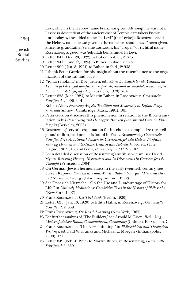|                | Levi, which is the Hebrew name Franz was given. Although he was not a<br>Levite (a descendent of the ancient cast of Temple caretakers known |
|----------------|----------------------------------------------------------------------------------------------------------------------------------------------|
| $[150]$        | until today by the added name "haLevi" [the Levite]), Rosenzweig adds                                                                        |
|                | the Hebrew name he was given to the name he "should have" been given.                                                                        |
|                | Since his grandfather's name was Louis, his "proper" or rightful name,                                                                       |
| Jewish         | Rosenzweig argued, was Yehudah ben Shmuel haLevi.                                                                                            |
| Social         | 8 Letter 841 (Dec. 20, 1922) to Buber, in ibid., 2: 875.                                                                                     |
| <b>Studies</b> | 9 Letter 941 (June 17, 1924) to Buber, in ibid., 2: 973.                                                                                     |
|                | 10 Letter 900 (Jan. 8, 1924) to Buber, in ibid., 2: 938.                                                                                     |
|                | 11 I thank Peter Gordon for his insight about the resemblance to the orga-                                                                   |
|                | nization of the Talmud page.                                                                                                                 |
|                | 12 "Yonat rehokim," in Dov Jarden, ed., Shirei ha-kodesh le-rabi Yehudah ha-                                                                 |
|                | Levi: Al pi kitvei yad u-defusim, im perush, mekorot u-makbilot, mavo, mafte-                                                                |
|                | hot, milon u-bibliyografyah (Jerusalem, 1978), 764.                                                                                          |
|                | 13 Letter 858 (Mar. 1923) to Martin Buber, in Rosenzweig, <i>Gesammelte</i>                                                                  |
|                | <i>Schriften I</i> , 2: 900–901.                                                                                                             |
|                | 14 Robert Alter, Necessary Angels: Tradition and Modernity in Kafka, Benja-                                                                  |
|                | min, and Scholem (Cambridge, Mass., 1991), 105.                                                                                              |
|                | 15 Peter Gordon discusses this phenomenon in relation to the Bible trans-                                                                    |
|                | lation in his Rosenzweig and Heidegger: Between Judaism and German Phi-                                                                      |
|                | losophy (Berkeley, 2003).                                                                                                                    |
|                | 16 Rosenzweig's cryptic explanation for his choice to emphasize the "reli-                                                                   |
|                | gious" or liturgical poems is found in Franz Rosenzweig, Gesammelte                                                                          |
|                | Schriften IV, vol. 1, Sprachdenken im Übersezten: Jehuda Halevi. Fünfund-                                                                    |
|                | neunzig Hymnen und Gedichte, Deutsch und Hebräisch, 3rd ed. (The                                                                             |
|                | Hague, 1983), 15, and Galli, Rosenzweig and Halevi, 182.                                                                                     |
|                | 17 For a detailed discussion of Rosenzweig's antihistoricism, see David                                                                      |
|                | Myers, Resisting History: Historicism and Its Discontents in German-Jewish                                                                   |
|                | <i>Thought</i> (Princeton, 2004).                                                                                                            |
|                | 18 On German-Jewish hermeneutics in the early twentieth century, see                                                                         |
|                | Steven Kepnes, The Text as Thou: Martin Buber's Dialogical Hermeneutics                                                                      |
|                | and Narrative Theology (Bloomington, Ind., 1992).                                                                                            |
|                | 19 See Friedrich Nietzsche, "On the Use and Disadvantage of History for                                                                      |
|                | Life," in Untimely Meditations: Cambridge Texts in the History of Philosophy                                                                 |
|                | (New York, 1997).                                                                                                                            |
|                | 20 Franz Rosenzweig, <i>Der Tischdank</i> (Berlin, 1920).                                                                                    |
|                | 21 Letter 621 (Jan. 13, 1920) to Edith Hahn, in Rosenzweig, Gesammelte                                                                       |
|                | Schriften I, 2: 659.                                                                                                                         |
|                | 22 Franz Rosenzweig, On Jewish Learning (New York, 1965).                                                                                    |
|                | 23 For further analysis of "The Builders," see Arnold M. Eisen, Rethinking                                                                   |
|                | Modern Judaism: Ritual, Commandment, Community (Chicago, 1998), chap. 7.                                                                     |
|                | 24 Franz Rosenzweig, "The New Thinking," in Philosophical and Theological                                                                    |
|                | Writings, ed. Paul W. Franks and Michael L. Morgan (Indianapolis,                                                                            |
|                | 2000), 131.                                                                                                                                  |
|                | 25 Letter 849 (Feb. 4, 1923) to Martin Buber, in Rosenzweig, Gesammelte                                                                      |
|                | <i>Schriften I, 2:659.</i>                                                                                                                   |
|                |                                                                                                                                              |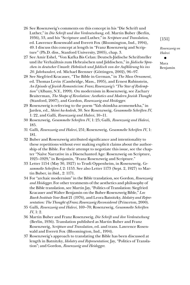- 26 See Rosenzweig's comments on this concept in his "Die Schrift und Luther," in *Die Schrift und ihre Verdeutschung*, ed. Martin Buber (Berlin, 1936), 53, and his "Scripture and Luther," in *Scripture and Translation*, ed. Lawrence Rosenwald and Everett Fox (Bloomington, Ind., 1994), 49. I discuss this concept at length in "Franz Rosenzweig and Scripture" (Ph.D. diss., Stanford University, 2005), chap. 3.
- 27 See Amir Eshel, "Von Kafka Bis Celan: Deutsch-Jüdische Schriftsteller und ihr Verhaältnis zum Hebraïschen und Jiddischen," in *Jüdische Sprachen in deutscher Umwelt: Hebräisch und Jiddisch von der Aufklärung bis ins 20. Jahrhundert*, ed. Michael Brenner (Göttingen, 2002), 96–97.
- 28 See Siegfried Kracauer, "The Bible in German," in *The Mass Ornament*, ed. Thomas Levin (Cambridge, Mass., 1995), and Ernest Rubinstein, *An Episode of Jewish Romanticism: Franz Rosenzweig's "The Star of Redemption"* (Albany, N.Y., 1999). On modernism in Rosenzweig, see Zachary Braiterman, *The Shape of Revelation: Aesthetics and Modern Jewish Thought* (Stanford, 2007), and Gordon, *Rosenzweig and Heidegger*.
- 29 Rosenzweig is referring to the poem "Yah shimkha aromemekha," in Jarden, ed., *Shirei ha-kodesh*, 30. See Rosenzweig, *Gesammelte Schriften IV*, 1: 22, and Galli, *Rosenzweig and Halevi*, 10–11.
- 30 Rosenzweig, *Gesammelte Schriften IV*, 1: 25; Galli, *Rosenzweig and Halevi*, 185.
- 31 Galli, *Rosenzweig and Halevi*, 251; Rosenzweig, *Gesammelte Schriften IV*, 1: 181.
- 32 Buber and Rosenzweig attributed significance and intentionality to these repetitions without ever making explicit claims about the authorship of the Bible. For their attempt to negotiate this issue, see the chapter "Naïve Narrative in a Disenchanted Age: Rosenzweig on Scripture, 1925–1929," in Benjamin, "Franz Rosenzweig and Scripture."
- 33 Letter 1154 (May 30, 1927) to Trudi Oppenheim, in Rosenzweig, *Gesammelte Schriften I*, 2: 1153. See also Letter 1173 (Sept. 2, 1927) to Martin Buber, in ibid., 2: 1171.
- 34 For "archaic modernism" in the Bible translation, see Gordon, *Rosenzweig and Heidegger*. For other treatments of the aesthetics and philosophy of the Bible translation, see Martin Jay, "Politics of Translation: Siegfried Kracauer and Walter Benjamin on the Buber-Rosenzweig Bible," *Leo Baeck Institute Year Book* 21 (1976), and Leora Batnitzky, *Idolatry and Representation: The Thought of Franz Rosenzweig Reconsidered* (Princeton, 2000).
- 35 Galli, *Rosenzweig and Halevi*, 169–70; Rosenzweig, *Gesammelte Schriften IV*, 1: 2.
- 36 Martin Buber and Franz Rosenzweig, *Die Schrift und ihre Verdeutschung* (Berlin, 1936). Translation published as Martin Buber and Franz Rosenzweig, *Scripture and Translation*, ed. and trans. Lawrence Rosenwald and Everett Fox (Bloomington, Ind., 1994).
- 37 Rosenzweig's approach to translating the Bible has been discussed at length in Batnitzky, *Idolatry and Representation*; Jay, "Politics of Translation"; and Gordon, *Rosenzweig and Heidegger*.

[151]

*Rosenzweig on Halevi*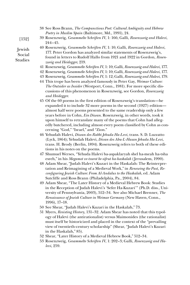- 38 See Ross Brann, *The Compunctious Poet: Cultural Ambiguity and Hebrew Poetry in Muslim Spain* (Baltimore, Md., 1991), 24.
- 39 Rosenzweig, *Gesammelte Schriften IV*, 1: 166; Galli, *Rosenzweig and Halevi*, 244–45.
	- 40 Rosenzweig, *Gesammelte Schriften IV*, 1: 10; Galli, *Rosenzweig and Halevi*,
- 177. Peter Gordon has analyzed similar statements of Rosenzweig's,
	- found in letters to Rudolf Hallo from 1921 and 1922 in Gordon, *Rosenzweig and Heidegger*, 219.
	- 41 Rosenzweig, *Gesammelte Schriften IV*, 1: 10; Galli, *Rosenzweig and Halevi*, 177.
	- 42 Rosenzweig, *Gesammelte Schriften IV*, 1: 10; Galli, *Rosenzweig and Halevi*, 177.
	- 43 Rosenzweig, *Gesammelte Schriften IV*, 1: 12; Galli, *Rosenzweig and Halevi*, 179.
	- 44 This trope has been analyzed famously in Peter Gay, *Weimar Culture: The Outsider as Insider* (Westport, Conn., 1981). For more specific discussions of this phenomenon in Rosenzweig, see Gordon, *Rosenzweig and Heidegger*.
	- 45 Of the 60 poems in the first edition of Rosenzweig's translation—he expanded it to include 32 more poems in the second (1927) edition almost half were poems presented to the same readership only a few years before in Cohn, *Ein Diwan*. Rosenzweig, in other words, took it upon himself to retranslate many of the poems that Cohn had allegedly butchered, including almost every poem classified by Cohn as concerning "God," "Israel," and "Zion."
	- 46 Yehudah Halevi, *Diwan des Rabbi Jehuda Ha-Levi*, trans. S. D. Luzzatto (Lyck, 1864); Yehudah Halevi, *Divan des Abu-L-Hasan Jehuda Ha-Levi*, trans. H. Brody (Berlin, 1894). Rosenzweig refers to both of these editions in his notes on the poems.
	- 47 Shumuel Werses, "Yehuda Halevi ba-aspaklaryah shel ha-meah ha-tsha esreh," in his *Megamot ve-tsurot be-sifrut ha-haskalah* (Jerusalem, 1990).
	- 48 Adam Shear, "Judah Halevi's Kuzari in the Haskalah: The Reinterpretation and Reimagining of a Medieval Work," in *Renewing the Past, Reconfiguring Jewish Culture: From Al-Andalus to the Haskalah*, ed. Adam Sutcliffe and Ross Brann (Philadelphia, Pa., 2004), 84.
	- 49 Adam Shear, "The Later History of a Medieval Hebrew Book: Studies in the Reception of Judah Halevi's 'Sefer Ha-Kuzari'" (Ph.D. diss., University of Pennsylvania, 2003), 512–34. See also Michael Brenner, *The Renaissance of Jewish Culture in Weimar Germany* (New Haven, Conn., 1996), 17–18.
	- 50 See Shear, "Judah Halevi's Kuzari in the Haskalah," 73.
	- 51 Myers, *Resisting History*, 131–32. Adam Shear has noted that this typology of Halevi (the antirationalist) versus Maimonides (the rationalist) must itself be historicized and placed in the context of the "prevailing view of twentieth-century scholarship" (Shear, "Judah Halevi's Kuzari in the Haskalah," 85).
	- 52 Shear, "Later History of a Medieval Hebrew Book," 512–34.
	- 53 Rosenzweig, *Gesammelte Schriften IV*, 1: 202–3; Galli, *Rosenzweig and Halevi*, 259.

[152]

Jewish Social Studies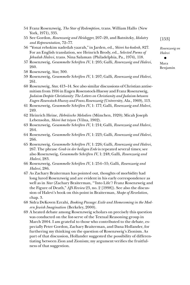- 54 Franz Rosenzweig, *The Star of Redemption*, trans. William Hallo (New York, 1971), 335.
- 55 See Gordon, *Rosenzweig and Heidegger*, 207–20, and Batnitzky, *Idolatry and Representation*, 72–77.
- 56 "Yonat rehokim nadedah yaarah," in Jarden, ed., *Shirei ha-kodesh*, 827. For an English translation, see Heinrich Brody, ed., *Selected Poems of Jehudah Halevi*, trans. Nina Salaman (Philadelphia, Pa., 1974), 118.
- 57 Rosenzweig, *Gesammelte Schriften IV*, 1: 205; Galli, *Rosenzweig and Halevi*, 260.
- 58 Rosenzweig, *Star*, 300.
- 59 Rosenzweig, *Gesammelte Schriften IV*, 1: 207; Galli, *Rosenzweig and Halevi*, 261.
- 60 Rosenzweig, *Star*, 413–14. See also similar discussions of Christian antisemitism from 1916 in Eugen Rosenstock-Huessy and Franz Rosenzweig, *Judaism Despite Christianity: The Letters on Christianity and Judaism between Eugen Rosenstock-Huessy and Franz Rosenzweig* (University, Ala., 1969), 113.
- 61 Rosenzweig, *Gesammelte Schriften IV*, 1: 177; Galli, *Rosenzweig and Halevi*, 249.
- 62 Heinrich Heine, *Hebräische Melodien* (München, 1920); Micah Joseph Lebensohn, *Shirei bat tsiyon* (Vilna, 1902).
- 63 Rosenzweig, *Gesammelte Schriften IV*, 1: 214; Galli, *Rosenzweig and Halevi*, 264.
- 64 Rosenzweig, *Gesammelte Schriften IV*, 1: 223; Galli, *Rosenzweig and Halevi*, 266.
- 65 Rosenzweig, *Gesammelte Schriften IV*, 1: 226; Galli, *Rosenzweig and Halevi*, 267. The phrase *Grab in der heiligen Erde* is repeated several times; see also Rosenzweig, *Gesammelte Schriften IV*, 1: 248; Galli, *Rosenzweig and Halevi*, 283.
- 66 Rosenzweig, *Gesammelte Schriften IV*, 1: 254–55; Galli, *Rosenzweig and Halevi*, 286.
- 67 As Zachary Braiterman has pointed out, thoughts of morbidity had long lured Rosenzweig and are evident in his early correspondence as well as in *Star* (Zachary Braiterman, "'Into Life'? Franz Rosenzweig and the Figure of Death," *AJS Review* 23, no. 2 [1998]). See also the discussion of Halevi's book on this point in Braiterman, *Shape of Revelation*, chap. 3.
- 68 Sidra DeKoven Ezrahi, *Booking Passage: Exile and Homecoming in the Modern Jewish Imagination* (Berkeley, 2000).
- 69 A heated debate among Rosenzweig scholars on precisely this question was conducted on the list-serve of the Textual Reasoning group in March 2004. I am grateful to those who contributed to the debate, especially Peter Gordon, Zachary Braiterman, and Dana Hollander, for furthering my thinking on the question of Rosenzweig's Zionism. As part of that discussion, Hollander suggested the possibility of differentiating between Zion and Zionism; my argument verifies the fruitfulness of that suggestion.

[153]

*Rosenzweig on Halevi*